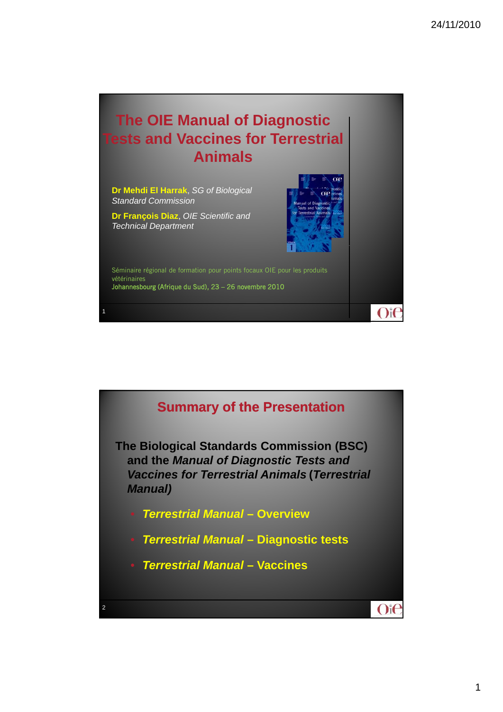## **The OIE Manual of Diagnostic Tests and Vaccines for Terrestrial Animals**

**Dr Mehdi El Harrak**, *SG of Biological Standard Commission*

**Dr François Diaz**, *OIE Scientific and Technical Department*

1



 $O$ it

Séminaire régional de formation pour points focaux OIE pour les produits vétérinaires Johannesbourg (Afrique du Sud), 23 – 26 novembre 2010

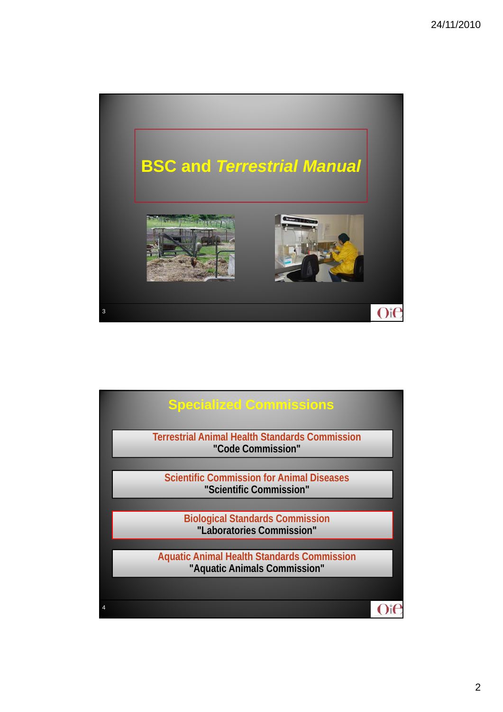

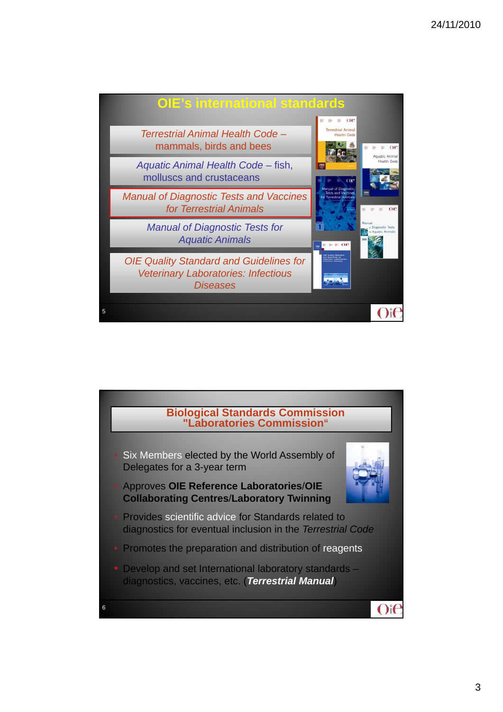

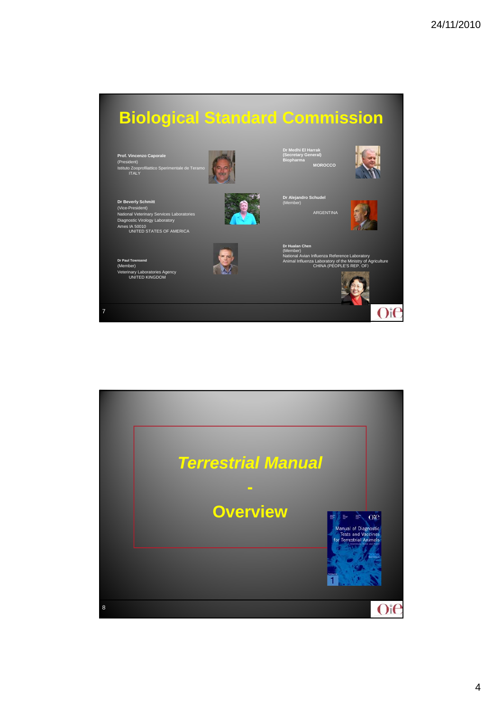

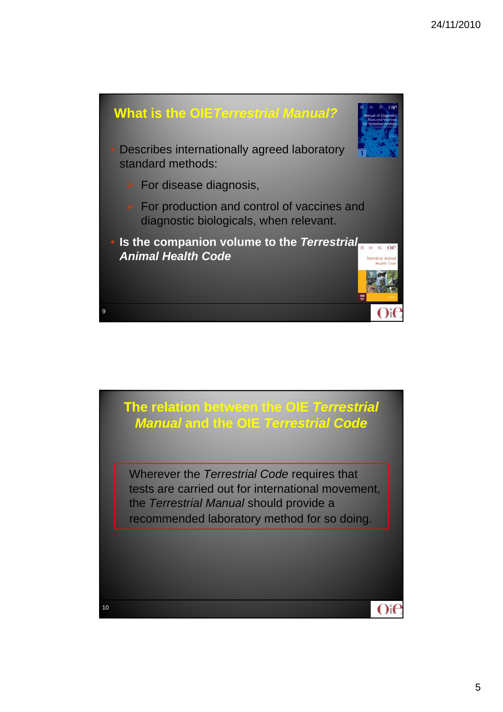

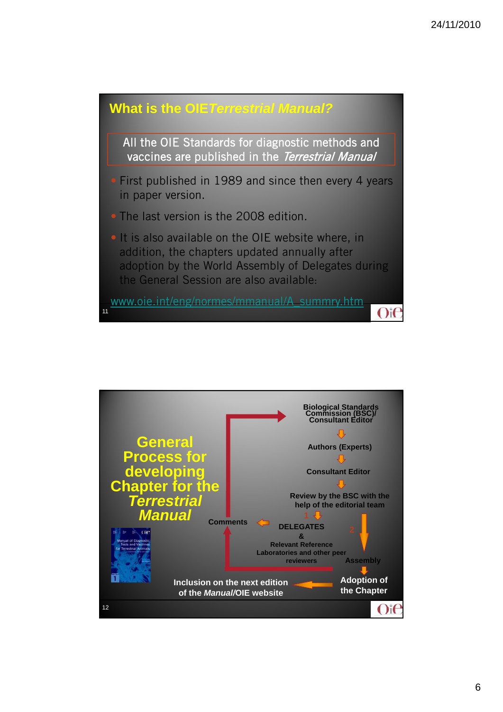

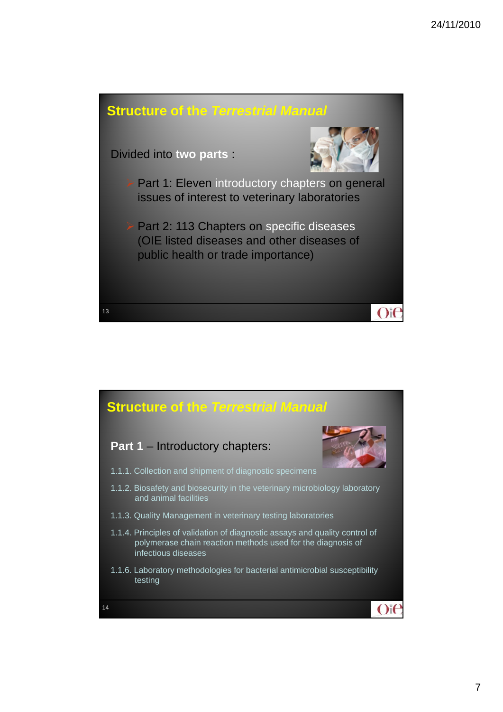

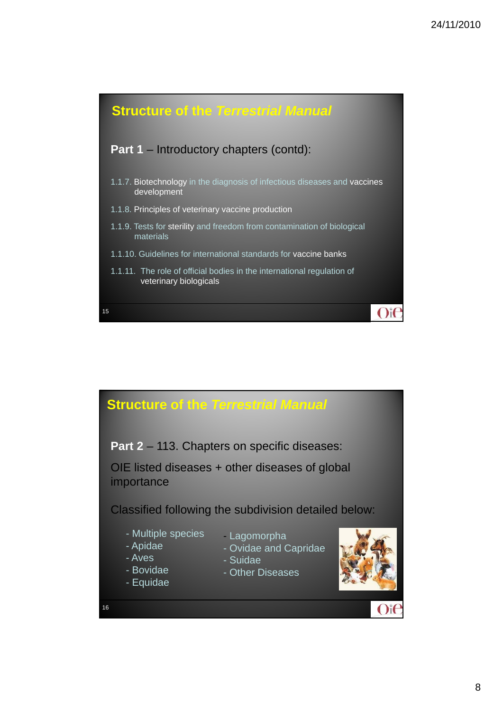

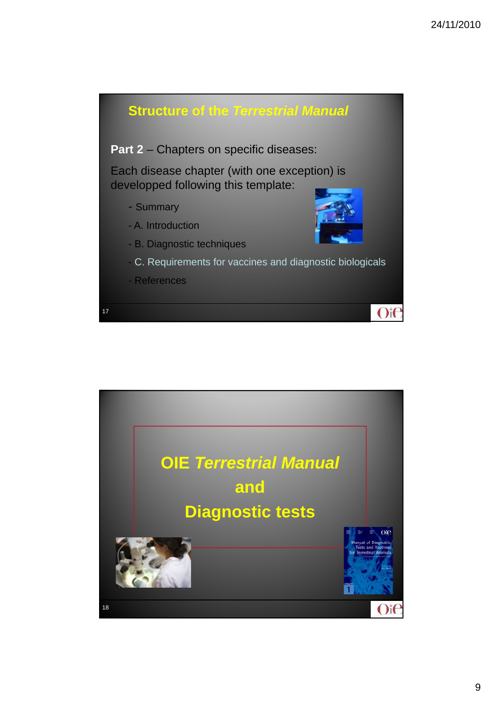

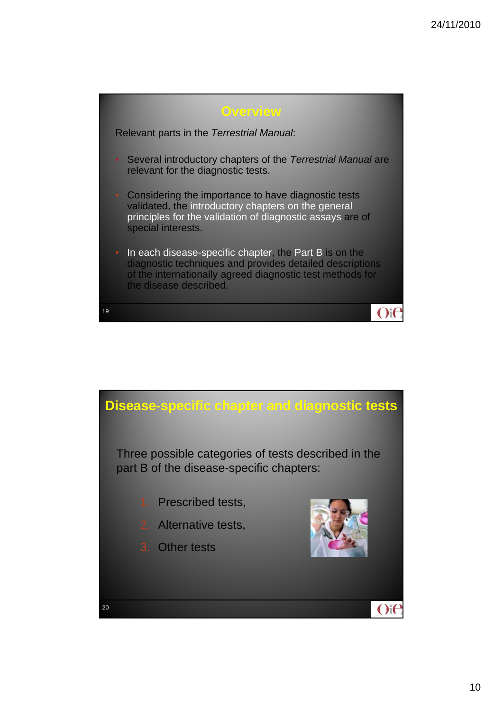

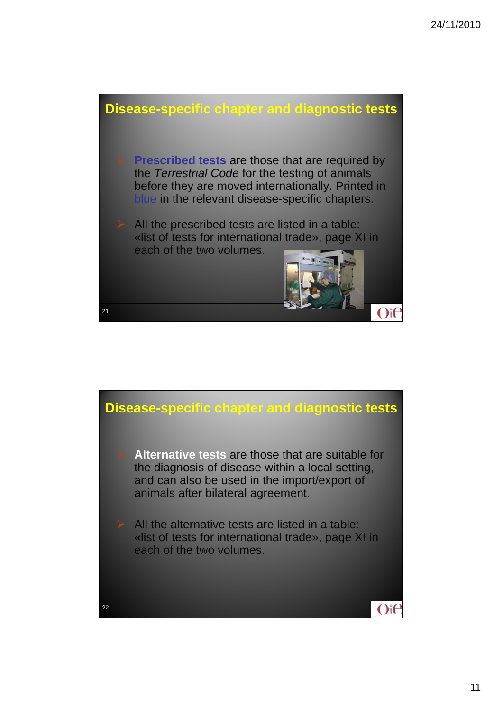

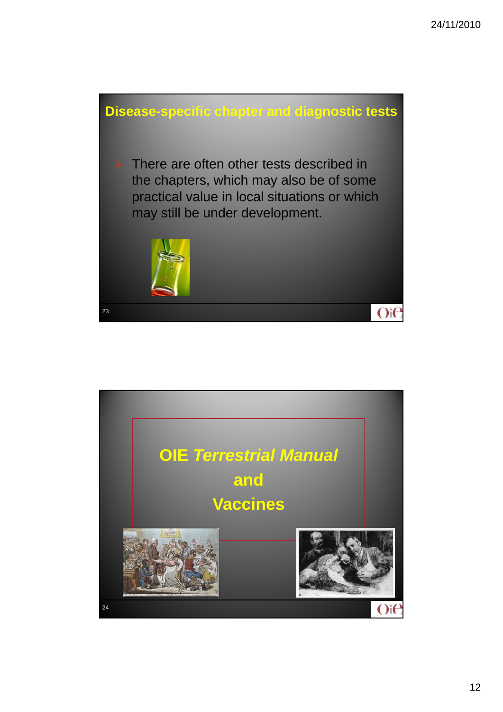

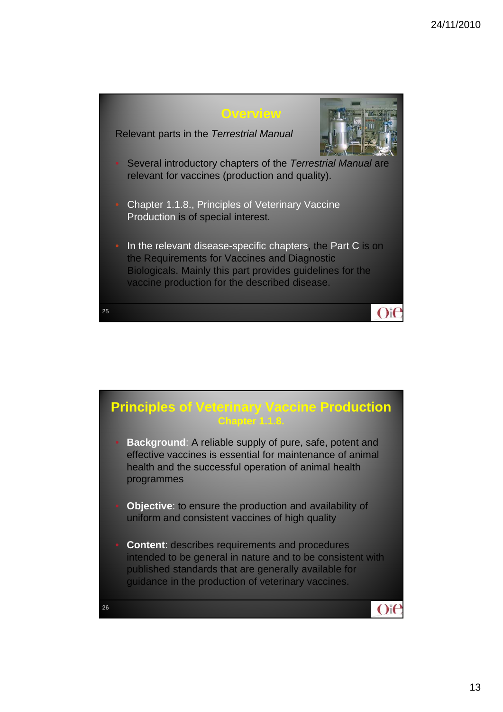

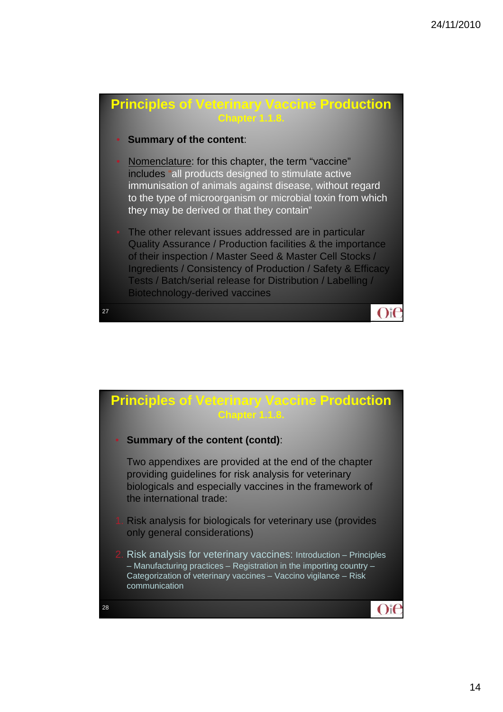

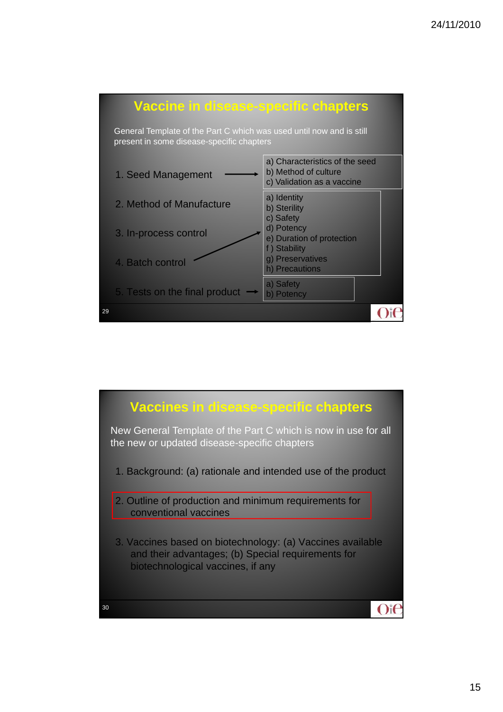